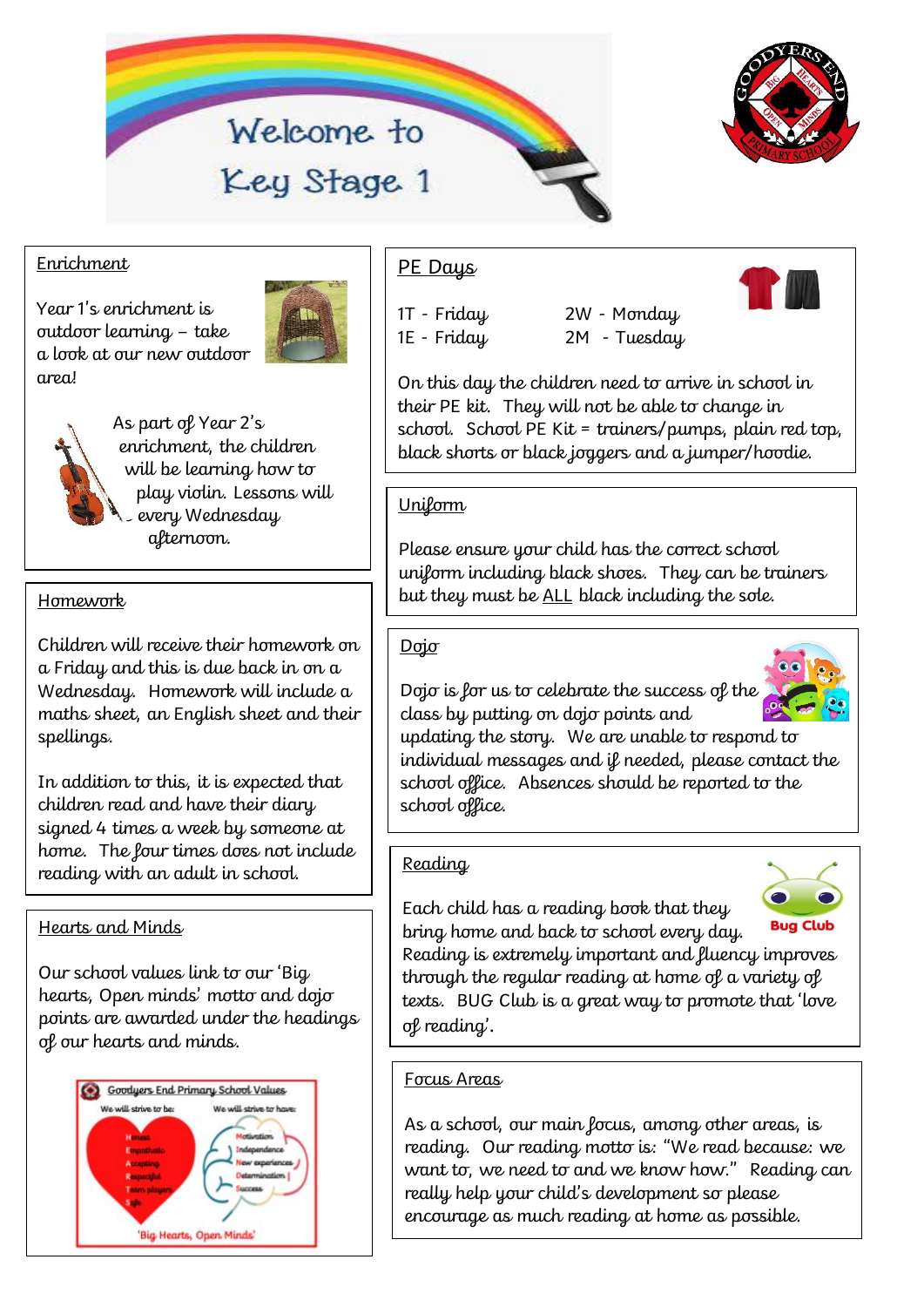



### Enrichment

Year 1's enrichment is outdoor learning – take a look at our new outdoor area!





As part of Year 2's enrichment, the children will be learning how to play violin. Lessons will every Wednesday afternoon.

Children will receive their homework on a Friday and this is due back in on a Wednesday. Homework will include a maths sheet, an English sheet and their spellings.

In addition to this, it is expected that children read and have their diary signed 4 times a week by someone at home. The four times does not include reading with an adult in school.

# Hearts and Minds

Our school values link to our 'Big hearts, Open minds' motto and dojo points are awarded under the headings of our hearts and minds.



# PE Days

1T - Friday 2W - Monday 1E - Friday 2M - Tuesday



On this day the children need to arrive in school in their PE kit. They will not be able to change in school. School PE Kit = trainers/pumps, plain red top, black shorts or black joggers and a jumper/hoodie.

### **Uniform**

Please ensure your child has the correct school uniform including black shoes. They can be trainers Homework **but they must be <u>ALL</u> black including the sole.** 

#### Dojo

Dojo is for us to celebrate the success of the class by putting on dojo points and



updating the story. We are unable to respond to individual messages and if needed, please contact the school office. Absences should be reported to the school office.

# Reading

Each child has a reading book that they bring home and back to school every day.



Reading is extremely important and fluency improves through the regular reading at home of a variety of texts. BUG Club is a great way to promote that 'love of reading'.

# Focus Areas

As a school, our main focus, among other areas, is reading. Our reading motto is: "We read because: we want to, we need to and we know how." Reading can really help your child's development so please encourage as much reading at home as possible.